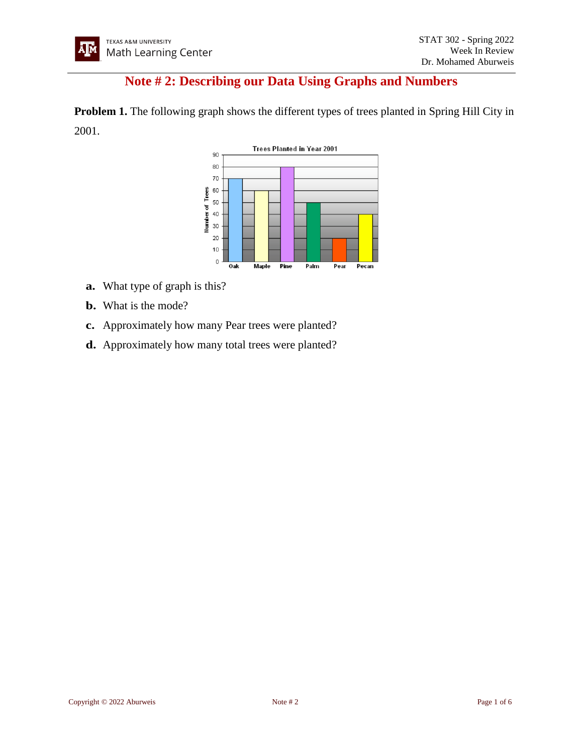## **Note # 2: Describing our Data Using Graphs and Numbers**

**Problem 1.** The following graph shows the different types of trees planted in Spring Hill City in 2001.



- **a.** What type of graph is this?
- **b.** What is the mode?
- **c.** Approximately how many Pear trees were planted?
- **d.** Approximately how many total trees were planted?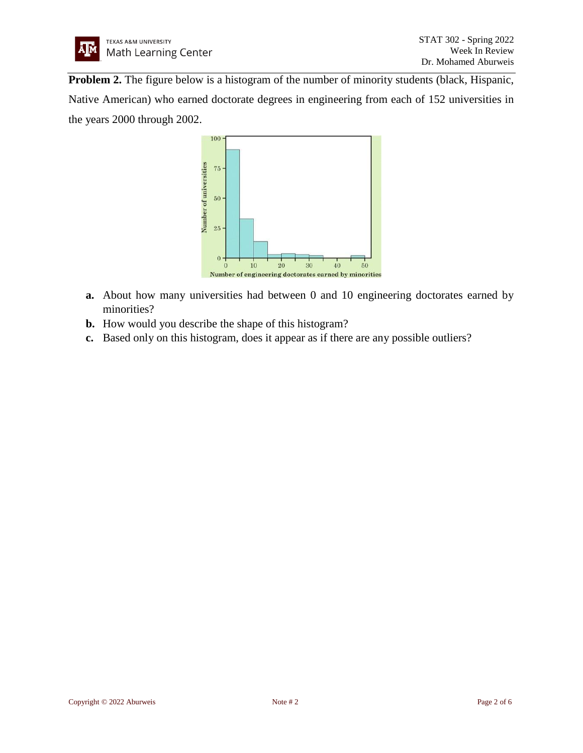

**Problem 2.** The figure below is a histogram of the number of minority students (black, Hispanic, Native American) who earned doctorate degrees in engineering from each of 152 universities in the years 2000 through 2002.



- **a.** About how many universities had between 0 and 10 engineering doctorates earned by minorities?
- **b.** How would you describe the shape of this histogram?
- **c.** Based only on this histogram, does it appear as if there are any possible outliers?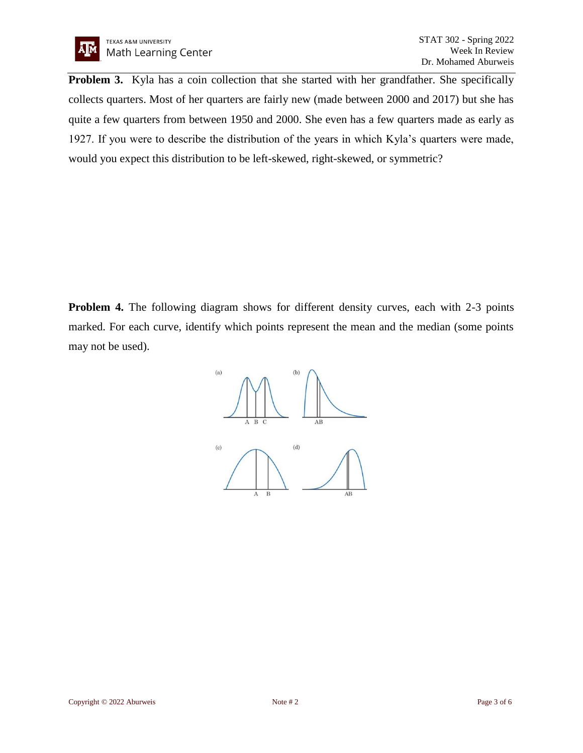

**Problem 3.** Kyla has a coin collection that she started with her grandfather. She specifically collects quarters. Most of her quarters are fairly new (made between 2000 and 2017) but she has quite a few quarters from between 1950 and 2000. She even has a few quarters made as early as 1927. If you were to describe the distribution of the years in which Kyla's quarters were made, would you expect this distribution to be left-skewed, right-skewed, or symmetric?

**Problem 4.** The following diagram shows for different density curves, each with 2-3 points marked. For each curve, identify which points represent the mean and the median (some points may not be used).

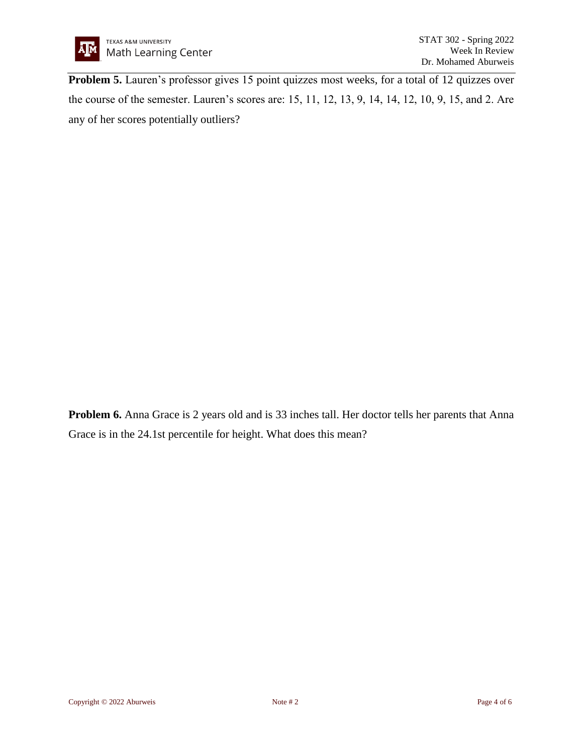

**Problem 5.** Lauren's professor gives 15 point quizzes most weeks, for a total of 12 quizzes over the course of the semester. Lauren's scores are: 15, 11, 12, 13, 9, 14, 14, 12, 10, 9, 15, and 2. Are any of her scores potentially outliers?

**Problem 6.** Anna Grace is 2 years old and is 33 inches tall. Her doctor tells her parents that Anna Grace is in the 24.1st percentile for height. What does this mean?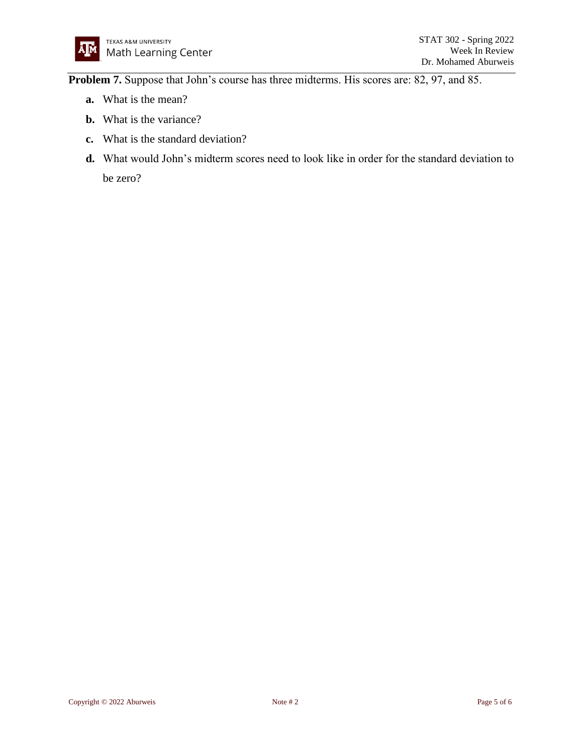**Problem 7.** Suppose that John's course has three midterms. His scores are: 82, 97, and 85.

- **a.** What is the mean?
- **b.** What is the variance?
- **c.** What is the standard deviation?
- **d.** What would John's midterm scores need to look like in order for the standard deviation to be zero?